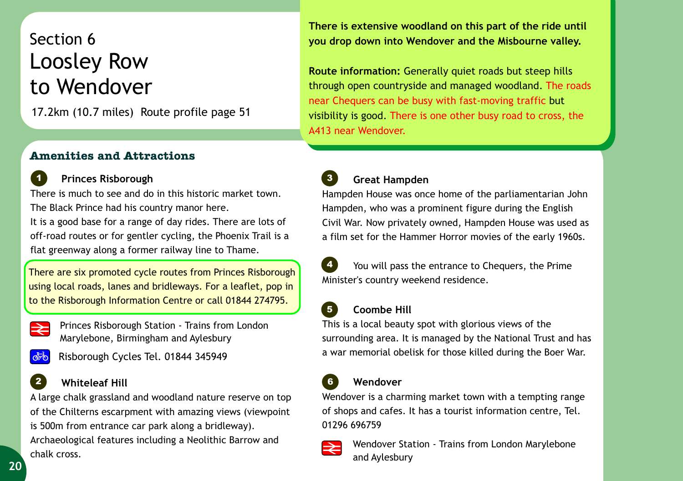# Section 6 Loosley Row to Wendover

17.2km (10.7 miles) Route profile page 51

#### **Amenities and Attractions**

## **Princes Risborough**

There is much to see and do in this historic market town. The Black Prince had his country manor here. It is a good base for a range of day rides. There are lots of off-road routes or for gentler cycling, the Phoenix Trail is a flat greenway along a former railway line to Thame.

l There are six promoted cycle routes from Princes Risborough using local roads, lanes and bridleways. For a leaflet, pop in to the Risborough Information Centre or call 01844 274795.

*1*

Princes Risborough Station - Trains from London Marylebone, Birmingham and Aylesbury



*2*

Risborough Cycles Tel. 01844 345949

### **Whiteleaf Hill**

A large chalk grassland and woodland nature reserve on top of the Chilterns escarpment with amazing views (viewpoint is 500m from entrance car park along a bridleway).

Archaeological features including a Neolithic Barrow and chalk cross.



**Route information:** Generally quiet roads but steep hills through open countryside and managed woodland. The roads near Chequers can be busy with fast-moving traffic but visibility is good. There is one other busy road to cross, the A413 near Wendover.

 **Great Hampden** *3*

Hampden House was once home of the parliamentarian John Hampden, who was a prominent figure during the English Civil War. Now privately owned, Hampden House was used as a film set for the Hammer Horror movies of the early 1960s.

 You will pass the entrance to Chequers, the Prime Minister's country weekend residence. *4*

#### **Coombe Hill**

This is a local beauty spot with glorious views of the surrounding area. It is managed by the National Trust and has a war memorial obelisk for those killed during the Boer War.

#### **Wendover** *6*

Wendover is a charming market town with a tempting range of shops and cafes. It has a tourist information centre, Tel. 01296 696759



*5*

Wendover Station - Trains from London Marylebone and Aylesbury